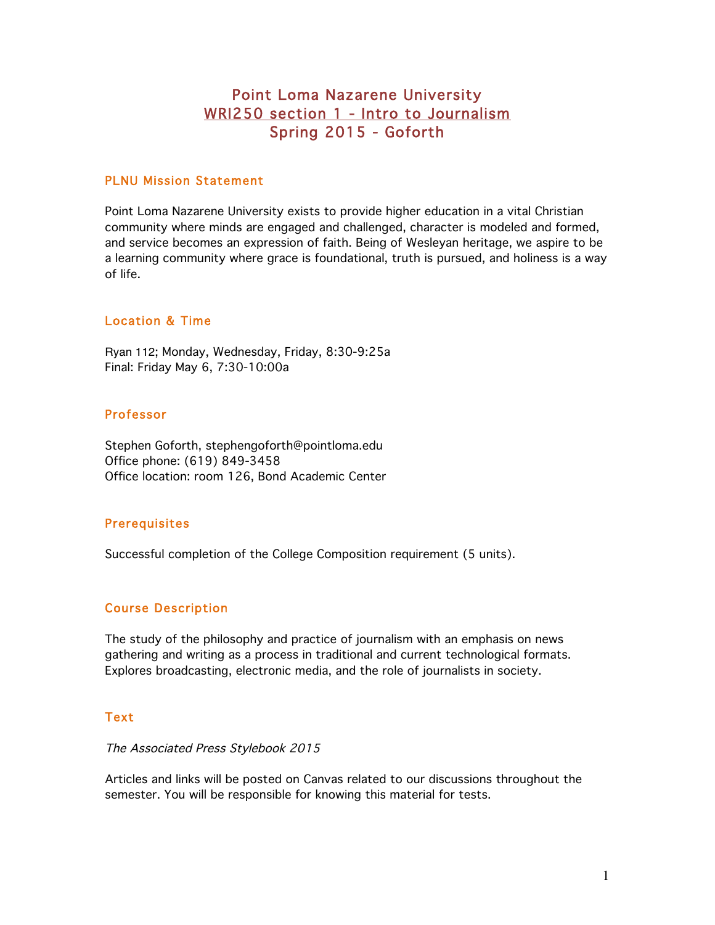# Point Loma Nazarene University WRI250 section 1 - Intro to Journalism Spring 2015 - Goforth

#### PLNU Mission Statement

Point Loma Nazarene University exists to provide higher education in a vital Christian community where minds are engaged and challenged, character is modeled and formed, and service becomes an expression of faith. Being of Wesleyan heritage, we aspire to be a learning community where grace is foundational, truth is pursued, and holiness is a way of life.

### Location & Time

Ryan 112; Monday, Wednesday, Friday, 8:30-9:25a Final: Friday May 6, 7:30-10:00a

### Professor

Stephen Goforth, stephengoforth@pointloma.edu Office phone: (619) 849-3458 Office location: room 126, Bond Academic Center

### **Prerequisites**

Successful completion of the College Composition requirement (5 units).

### Course Description

The study of the philosophy and practice of journalism with an emphasis on news gathering and writing as a process in traditional and current technological formats. Explores broadcasting, electronic media, and the role of journalists in society.

#### **Text**

The Associated Press Stylebook 2015

Articles and links will be posted on Canvas related to our discussions throughout the semester. You will be responsible for knowing this material for tests.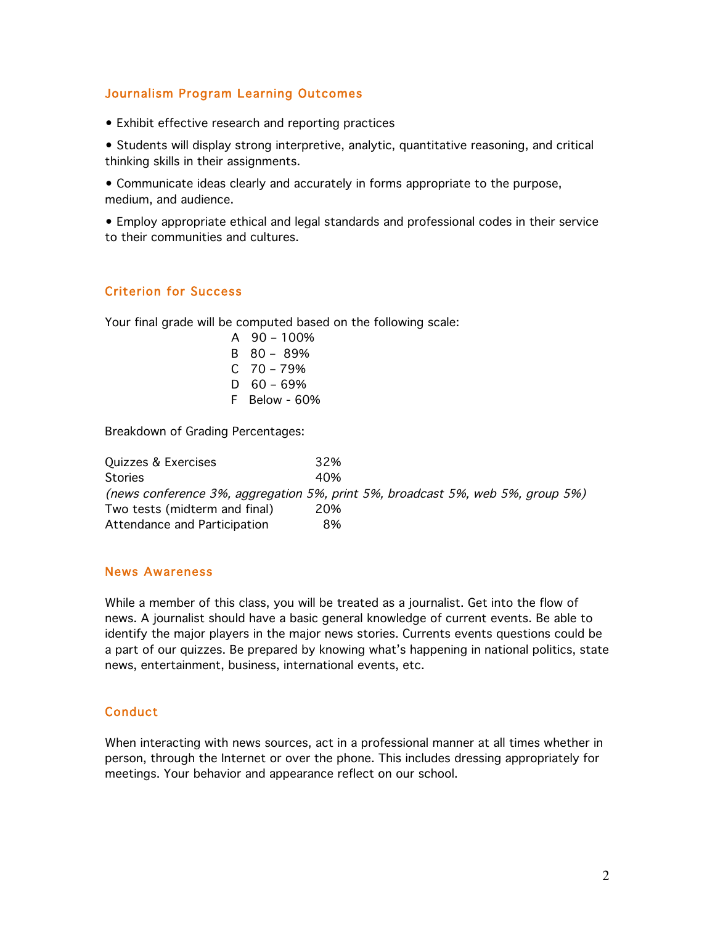### Journalism Program Learning Outcomes

• Exhibit effective research and reporting practices

• Students will display strong interpretive, analytic, quantitative reasoning, and critical thinking skills in their assignments.

• Communicate ideas clearly and accurately in forms appropriate to the purpose, medium, and audience.

• Employ appropriate ethical and legal standards and professional codes in their service to their communities and cultures.

### Criterion for Success

Your final grade will be computed based on the following scale:

A 90 – 100% B 80 – 89%  $C \quad 70 - 79\%$  $D 60 - 69%$ F Below - 60%

Breakdown of Grading Percentages:

| Quizzes & Exercises                                                            | 32% |  |  |  |  |
|--------------------------------------------------------------------------------|-----|--|--|--|--|
| <b>Stories</b>                                                                 | 40% |  |  |  |  |
| (news conference 3%, aggregation 5%, print 5%, broadcast 5%, web 5%, group 5%) |     |  |  |  |  |
| Two tests (midterm and final)                                                  | 20% |  |  |  |  |
| Attendance and Participation                                                   | 8%  |  |  |  |  |

### News Awareness

While a member of this class, you will be treated as a journalist. Get into the flow of news. A journalist should have a basic general knowledge of current events. Be able to identify the major players in the major news stories. Currents events questions could be a part of our quizzes. Be prepared by knowing what's happening in national politics, state news, entertainment, business, international events, etc.

### **Conduct**

When interacting with news sources, act in a professional manner at all times whether in person, through the Internet or over the phone. This includes dressing appropriately for meetings. Your behavior and appearance reflect on our school.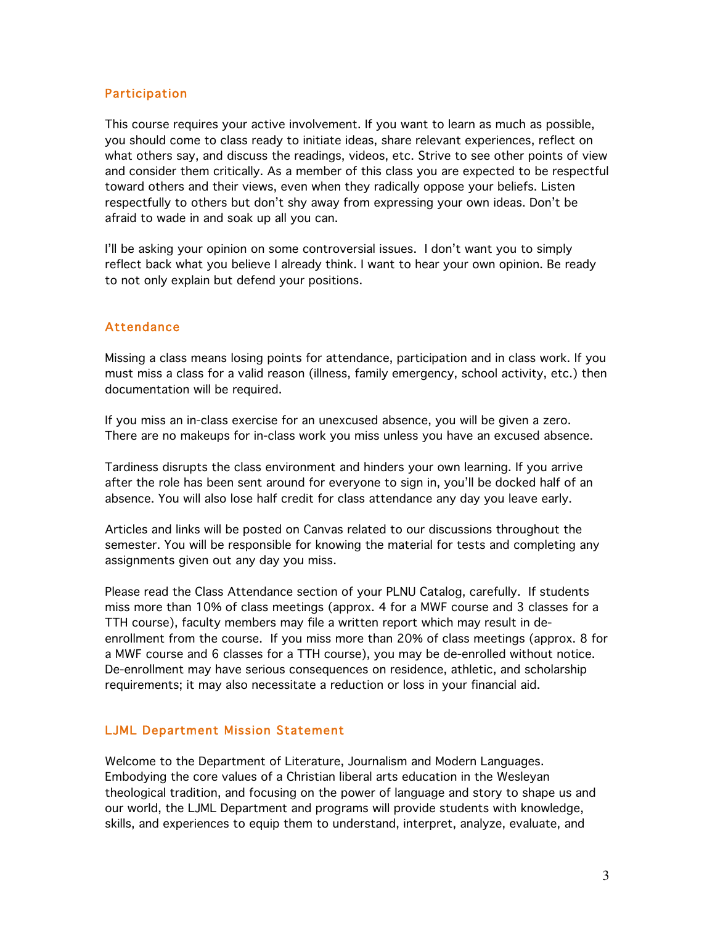# Participation

This course requires your active involvement. If you want to learn as much as possible, you should come to class ready to initiate ideas, share relevant experiences, reflect on what others say, and discuss the readings, videos, etc. Strive to see other points of view and consider them critically. As a member of this class you are expected to be respectful toward others and their views, even when they radically oppose your beliefs. Listen respectfully to others but don't shy away from expressing your own ideas. Don't be afraid to wade in and soak up all you can.

I'll be asking your opinion on some controversial issues. I don't want you to simply reflect back what you believe I already think. I want to hear your own opinion. Be ready to not only explain but defend your positions.

#### Attendance

Missing a class means losing points for attendance, participation and in class work. If you must miss a class for a valid reason (illness, family emergency, school activity, etc.) then documentation will be required.

If you miss an in-class exercise for an unexcused absence, you will be given a zero. There are no makeups for in-class work you miss unless you have an excused absence.

Tardiness disrupts the class environment and hinders your own learning. If you arrive after the role has been sent around for everyone to sign in, you'll be docked half of an absence. You will also lose half credit for class attendance any day you leave early.

Articles and links will be posted on Canvas related to our discussions throughout the semester. You will be responsible for knowing the material for tests and completing any assignments given out any day you miss.

Please read the Class Attendance section of your PLNU Catalog, carefully. If students miss more than 10% of class meetings (approx. 4 for a MWF course and 3 classes for a TTH course), faculty members may file a written report which may result in deenrollment from the course. If you miss more than 20% of class meetings (approx. 8 for a MWF course and 6 classes for a TTH course), you may be de-enrolled without notice. De-enrollment may have serious consequences on residence, athletic, and scholarship requirements; it may also necessitate a reduction or loss in your financial aid.

#### LJML Department Mission Statement

Welcome to the Department of Literature, Journalism and Modern Languages. Embodying the core values of a Christian liberal arts education in the Wesleyan theological tradition, and focusing on the power of language and story to shape us and our world, the LJML Department and programs will provide students with knowledge, skills, and experiences to equip them to understand, interpret, analyze, evaluate, and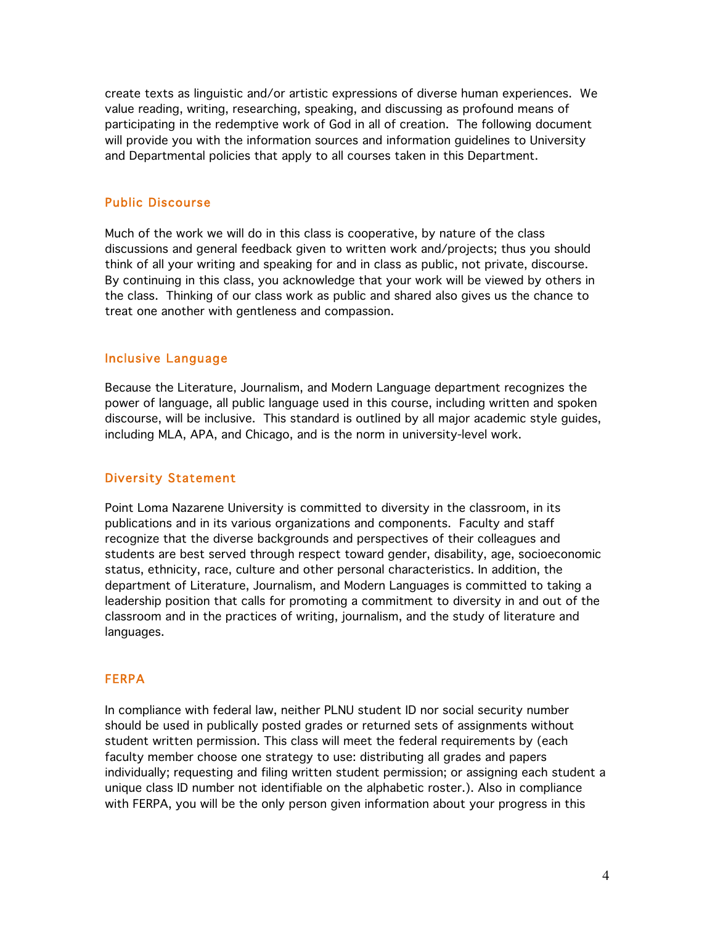create texts as linguistic and/or artistic expressions of diverse human experiences. We value reading, writing, researching, speaking, and discussing as profound means of participating in the redemptive work of God in all of creation. The following document will provide you with the information sources and information guidelines to University and Departmental policies that apply to all courses taken in this Department.

### Public Discourse

Much of the work we will do in this class is cooperative, by nature of the class discussions and general feedback given to written work and/projects; thus you should think of all your writing and speaking for and in class as public, not private, discourse. By continuing in this class, you acknowledge that your work will be viewed by others in the class. Thinking of our class work as public and shared also gives us the chance to treat one another with gentleness and compassion.

#### Inclusive Language

Because the Literature, Journalism, and Modern Language department recognizes the power of language, all public language used in this course, including written and spoken discourse, will be inclusive. This standard is outlined by all major academic style guides, including MLA, APA, and Chicago, and is the norm in university-level work.

#### Diversity Statement

Point Loma Nazarene University is committed to diversity in the classroom, in its publications and in its various organizations and components. Faculty and staff recognize that the diverse backgrounds and perspectives of their colleagues and students are best served through respect toward gender, disability, age, socioeconomic status, ethnicity, race, culture and other personal characteristics. In addition, the department of Literature, Journalism, and Modern Languages is committed to taking a leadership position that calls for promoting a commitment to diversity in and out of the classroom and in the practices of writing, journalism, and the study of literature and languages.

#### FERPA

In compliance with federal law, neither PLNU student ID nor social security number should be used in publically posted grades or returned sets of assignments without student written permission. This class will meet the federal requirements by (each faculty member choose one strategy to use: distributing all grades and papers individually; requesting and filing written student permission; or assigning each student a unique class ID number not identifiable on the alphabetic roster.). Also in compliance with FERPA, you will be the only person given information about your progress in this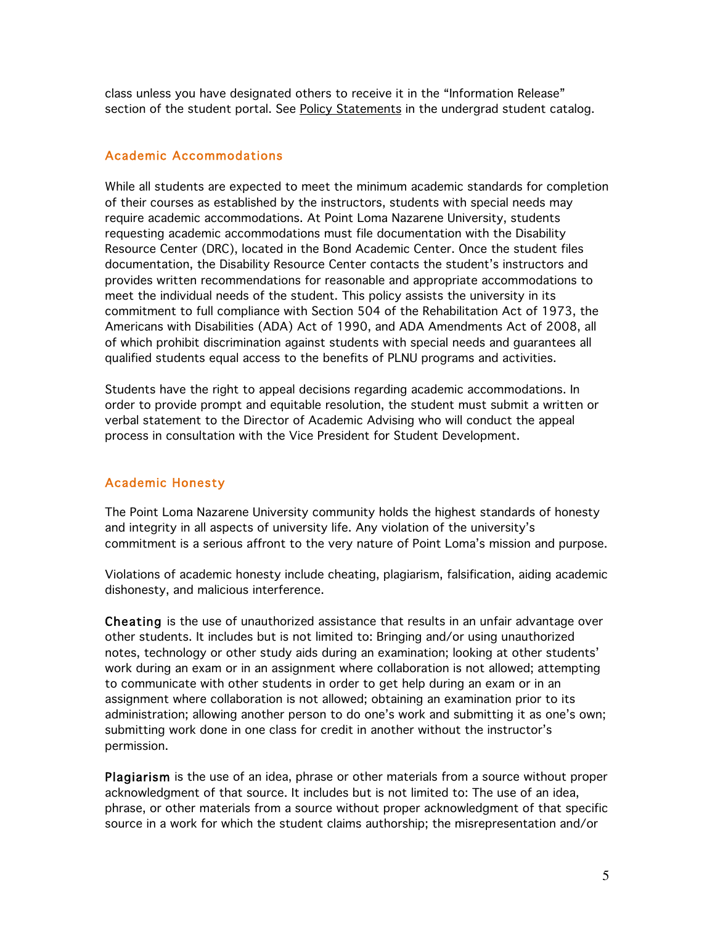class unless you have designated others to receive it in the "Information Release" section of the student portal. See Policy Statements in the undergrad student catalog.

#### Academic Accommodations

While all students are expected to meet the minimum academic standards for completion of their courses as established by the instructors, students with special needs may require academic accommodations. At Point Loma Nazarene University, students requesting academic accommodations must file documentation with the Disability Resource Center (DRC), located in the Bond Academic Center. Once the student files documentation, the Disability Resource Center contacts the student's instructors and provides written recommendations for reasonable and appropriate accommodations to meet the individual needs of the student. This policy assists the university in its commitment to full compliance with Section 504 of the Rehabilitation Act of 1973, the Americans with Disabilities (ADA) Act of 1990, and ADA Amendments Act of 2008, all of which prohibit discrimination against students with special needs and guarantees all qualified students equal access to the benefits of PLNU programs and activities.

Students have the right to appeal decisions regarding academic accommodations. In order to provide prompt and equitable resolution, the student must submit a written or verbal statement to the Director of Academic Advising who will conduct the appeal process in consultation with the Vice President for Student Development.

#### Academic Honesty

The Point Loma Nazarene University community holds the highest standards of honesty and integrity in all aspects of university life. Any violation of the university's commitment is a serious affront to the very nature of Point Loma's mission and purpose.

Violations of academic honesty include cheating, plagiarism, falsification, aiding academic dishonesty, and malicious interference.

Cheating is the use of unauthorized assistance that results in an unfair advantage over other students. It includes but is not limited to: Bringing and/or using unauthorized notes, technology or other study aids during an examination; looking at other students' work during an exam or in an assignment where collaboration is not allowed; attempting to communicate with other students in order to get help during an exam or in an assignment where collaboration is not allowed; obtaining an examination prior to its administration; allowing another person to do one's work and submitting it as one's own; submitting work done in one class for credit in another without the instructor's permission.

Plagiarism is the use of an idea, phrase or other materials from a source without proper acknowledgment of that source. It includes but is not limited to: The use of an idea, phrase, or other materials from a source without proper acknowledgment of that specific source in a work for which the student claims authorship; the misrepresentation and/or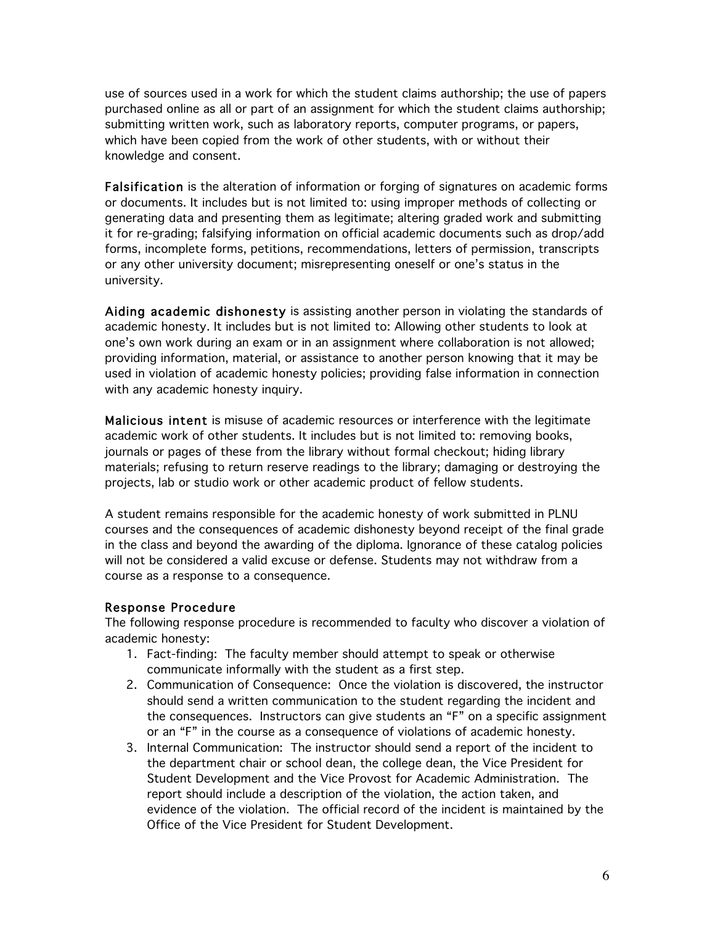use of sources used in a work for which the student claims authorship; the use of papers purchased online as all or part of an assignment for which the student claims authorship; submitting written work, such as laboratory reports, computer programs, or papers, which have been copied from the work of other students, with or without their knowledge and consent.

Falsification is the alteration of information or forging of signatures on academic forms or documents. It includes but is not limited to: using improper methods of collecting or generating data and presenting them as legitimate; altering graded work and submitting it for re-grading; falsifying information on official academic documents such as drop/add forms, incomplete forms, petitions, recommendations, letters of permission, transcripts or any other university document; misrepresenting oneself or one's status in the university.

Aiding academic dishonesty is assisting another person in violating the standards of academic honesty. It includes but is not limited to: Allowing other students to look at one's own work during an exam or in an assignment where collaboration is not allowed; providing information, material, or assistance to another person knowing that it may be used in violation of academic honesty policies; providing false information in connection with any academic honesty inquiry.

Malicious intent is misuse of academic resources or interference with the legitimate academic work of other students. It includes but is not limited to: removing books, journals or pages of these from the library without formal checkout; hiding library materials; refusing to return reserve readings to the library; damaging or destroying the projects, lab or studio work or other academic product of fellow students.

A student remains responsible for the academic honesty of work submitted in PLNU courses and the consequences of academic dishonesty beyond receipt of the final grade in the class and beyond the awarding of the diploma. Ignorance of these catalog policies will not be considered a valid excuse or defense. Students may not withdraw from a course as a response to a consequence.

### Response Procedure

The following response procedure is recommended to faculty who discover a violation of academic honesty:

- 1. Fact-finding: The faculty member should attempt to speak or otherwise communicate informally with the student as a first step.
- 2. Communication of Consequence: Once the violation is discovered, the instructor should send a written communication to the student regarding the incident and the consequences. Instructors can give students an "F" on a specific assignment or an "F" in the course as a consequence of violations of academic honesty.
- 3. Internal Communication: The instructor should send a report of the incident to the department chair or school dean, the college dean, the Vice President for Student Development and the Vice Provost for Academic Administration. The report should include a description of the violation, the action taken, and evidence of the violation. The official record of the incident is maintained by the Office of the Vice President for Student Development.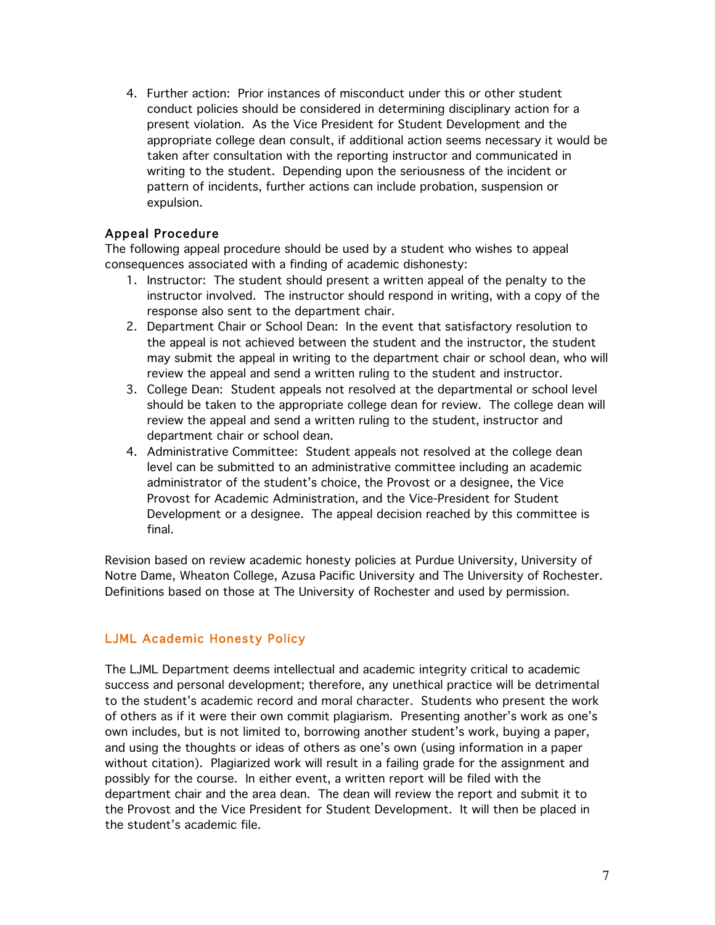4. Further action: Prior instances of misconduct under this or other student conduct policies should be considered in determining disciplinary action for a present violation. As the Vice President for Student Development and the appropriate college dean consult, if additional action seems necessary it would be taken after consultation with the reporting instructor and communicated in writing to the student. Depending upon the seriousness of the incident or pattern of incidents, further actions can include probation, suspension or expulsion.

### Appeal Procedure

The following appeal procedure should be used by a student who wishes to appeal consequences associated with a finding of academic dishonesty:

- 1. Instructor: The student should present a written appeal of the penalty to the instructor involved. The instructor should respond in writing, with a copy of the response also sent to the department chair.
- 2. Department Chair or School Dean: In the event that satisfactory resolution to the appeal is not achieved between the student and the instructor, the student may submit the appeal in writing to the department chair or school dean, who will review the appeal and send a written ruling to the student and instructor.
- 3. College Dean: Student appeals not resolved at the departmental or school level should be taken to the appropriate college dean for review. The college dean will review the appeal and send a written ruling to the student, instructor and department chair or school dean.
- 4. Administrative Committee: Student appeals not resolved at the college dean level can be submitted to an administrative committee including an academic administrator of the student's choice, the Provost or a designee, the Vice Provost for Academic Administration, and the Vice-President for Student Development or a designee. The appeal decision reached by this committee is final.

Revision based on review academic honesty policies at Purdue University, University of Notre Dame, Wheaton College, Azusa Pacific University and The University of Rochester. Definitions based on those at The University of Rochester and used by permission.

# LJML Academic Honesty Policy

The LJML Department deems intellectual and academic integrity critical to academic success and personal development; therefore, any unethical practice will be detrimental to the student's academic record and moral character. Students who present the work of others as if it were their own commit plagiarism. Presenting another's work as one's own includes, but is not limited to, borrowing another student's work, buying a paper, and using the thoughts or ideas of others as one's own (using information in a paper without citation). Plagiarized work will result in a failing grade for the assignment and possibly for the course. In either event, a written report will be filed with the department chair and the area dean. The dean will review the report and submit it to the Provost and the Vice President for Student Development. It will then be placed in the student's academic file.